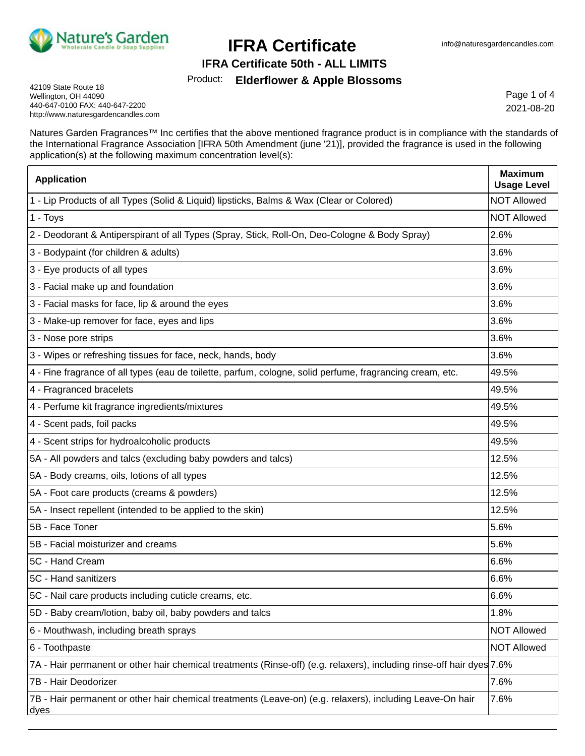

#### **IFRA Certificate 50th - ALL LIMITS**

#### Product: **Elderflower & Apple Blossoms**

42109 State Route 18 Wellington, OH 44090 440-647-0100 FAX: 440-647-2200 http://www.naturesgardencandles.com

Page 1 of 4 2021-08-20

Natures Garden Fragrances™ Inc certifies that the above mentioned fragrance product is in compliance with the standards of the International Fragrance Association [IFRA 50th Amendment (june '21)], provided the fragrance is used in the following application(s) at the following maximum concentration level(s):

| <b>Application</b>                                                                                                    | <b>Maximum</b><br><b>Usage Level</b> |
|-----------------------------------------------------------------------------------------------------------------------|--------------------------------------|
| 1 - Lip Products of all Types (Solid & Liquid) lipsticks, Balms & Wax (Clear or Colored)                              | <b>NOT Allowed</b>                   |
| 1 - Toys                                                                                                              | <b>NOT Allowed</b>                   |
| 2 - Deodorant & Antiperspirant of all Types (Spray, Stick, Roll-On, Deo-Cologne & Body Spray)                         | 2.6%                                 |
| 3 - Bodypaint (for children & adults)                                                                                 | 3.6%                                 |
| 3 - Eye products of all types                                                                                         | 3.6%                                 |
| 3 - Facial make up and foundation                                                                                     | 3.6%                                 |
| 3 - Facial masks for face, lip & around the eyes                                                                      | 3.6%                                 |
| 3 - Make-up remover for face, eyes and lips                                                                           | 3.6%                                 |
| 3 - Nose pore strips                                                                                                  | 3.6%                                 |
| 3 - Wipes or refreshing tissues for face, neck, hands, body                                                           | 3.6%                                 |
| 4 - Fine fragrance of all types (eau de toilette, parfum, cologne, solid perfume, fragrancing cream, etc.             | 49.5%                                |
| 4 - Fragranced bracelets                                                                                              | 49.5%                                |
| 4 - Perfume kit fragrance ingredients/mixtures                                                                        | 49.5%                                |
| 4 - Scent pads, foil packs                                                                                            | 49.5%                                |
| 4 - Scent strips for hydroalcoholic products                                                                          | 49.5%                                |
| 5A - All powders and talcs (excluding baby powders and talcs)                                                         | 12.5%                                |
| 5A - Body creams, oils, lotions of all types                                                                          | 12.5%                                |
| 5A - Foot care products (creams & powders)                                                                            | 12.5%                                |
| 5A - Insect repellent (intended to be applied to the skin)                                                            | 12.5%                                |
| 5B - Face Toner                                                                                                       | 5.6%                                 |
| 5B - Facial moisturizer and creams                                                                                    | 5.6%                                 |
| 5C - Hand Cream                                                                                                       | 6.6%                                 |
| 5C - Hand sanitizers                                                                                                  | 6.6%                                 |
| 5C - Nail care products including cuticle creams, etc.                                                                | 6.6%                                 |
| 5D - Baby cream/lotion, baby oil, baby powders and talcs                                                              | 1.8%                                 |
| 6 - Mouthwash, including breath sprays                                                                                | <b>NOT Allowed</b>                   |
| 6 - Toothpaste                                                                                                        | <b>NOT Allowed</b>                   |
| 7A - Hair permanent or other hair chemical treatments (Rinse-off) (e.g. relaxers), including rinse-off hair dyes 7.6% |                                      |
| 7B - Hair Deodorizer                                                                                                  | 7.6%                                 |
| 7B - Hair permanent or other hair chemical treatments (Leave-on) (e.g. relaxers), including Leave-On hair<br>dyes     | 7.6%                                 |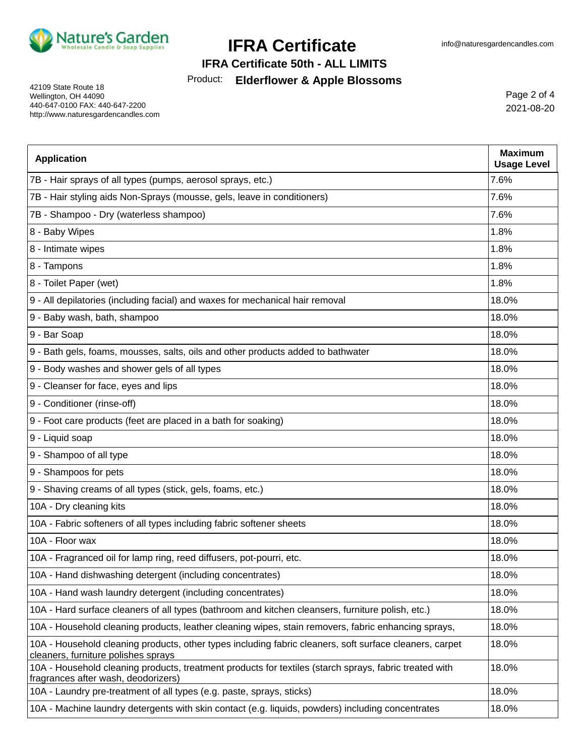

### **IFRA Certificate 50th - ALL LIMITS**

### Product: **Elderflower & Apple Blossoms**

42109 State Route 18 Wellington, OH 44090 440-647-0100 FAX: 440-647-2200 http://www.naturesgardencandles.com

Page 2 of 4 2021-08-20

| <b>Application</b>                                                                                                                             | <b>Maximum</b><br><b>Usage Level</b> |
|------------------------------------------------------------------------------------------------------------------------------------------------|--------------------------------------|
| 7B - Hair sprays of all types (pumps, aerosol sprays, etc.)                                                                                    | 7.6%                                 |
| 7B - Hair styling aids Non-Sprays (mousse, gels, leave in conditioners)                                                                        | 7.6%                                 |
| 7B - Shampoo - Dry (waterless shampoo)                                                                                                         | 7.6%                                 |
| 8 - Baby Wipes                                                                                                                                 | 1.8%                                 |
| 8 - Intimate wipes                                                                                                                             | 1.8%                                 |
| 8 - Tampons                                                                                                                                    | 1.8%                                 |
| 8 - Toilet Paper (wet)                                                                                                                         | 1.8%                                 |
| 9 - All depilatories (including facial) and waxes for mechanical hair removal                                                                  | 18.0%                                |
| 9 - Baby wash, bath, shampoo                                                                                                                   | 18.0%                                |
| 9 - Bar Soap                                                                                                                                   | 18.0%                                |
| 9 - Bath gels, foams, mousses, salts, oils and other products added to bathwater                                                               | 18.0%                                |
| 9 - Body washes and shower gels of all types                                                                                                   | 18.0%                                |
| 9 - Cleanser for face, eyes and lips                                                                                                           | 18.0%                                |
| 9 - Conditioner (rinse-off)                                                                                                                    | 18.0%                                |
| 9 - Foot care products (feet are placed in a bath for soaking)                                                                                 | 18.0%                                |
| 9 - Liquid soap                                                                                                                                | 18.0%                                |
| 9 - Shampoo of all type                                                                                                                        | 18.0%                                |
| 9 - Shampoos for pets                                                                                                                          | 18.0%                                |
| 9 - Shaving creams of all types (stick, gels, foams, etc.)                                                                                     | 18.0%                                |
| 10A - Dry cleaning kits                                                                                                                        | 18.0%                                |
| 10A - Fabric softeners of all types including fabric softener sheets                                                                           | 18.0%                                |
| 10A - Floor wax                                                                                                                                | 18.0%                                |
| 10A - Fragranced oil for lamp ring, reed diffusers, pot-pourri, etc.                                                                           | 18.0%                                |
| 10A - Hand dishwashing detergent (including concentrates)                                                                                      | 18.0%                                |
| 10A - Hand wash laundry detergent (including concentrates)                                                                                     | 18.0%                                |
| 10A - Hard surface cleaners of all types (bathroom and kitchen cleansers, furniture polish, etc.)                                              | 18.0%                                |
| 10A - Household cleaning products, leather cleaning wipes, stain removers, fabric enhancing sprays,                                            | 18.0%                                |
| 10A - Household cleaning products, other types including fabric cleaners, soft surface cleaners, carpet<br>cleaners, furniture polishes sprays | 18.0%                                |
| 10A - Household cleaning products, treatment products for textiles (starch sprays, fabric treated with<br>fragrances after wash, deodorizers)  | 18.0%                                |
| 10A - Laundry pre-treatment of all types (e.g. paste, sprays, sticks)                                                                          | 18.0%                                |
| 10A - Machine laundry detergents with skin contact (e.g. liquids, powders) including concentrates                                              | 18.0%                                |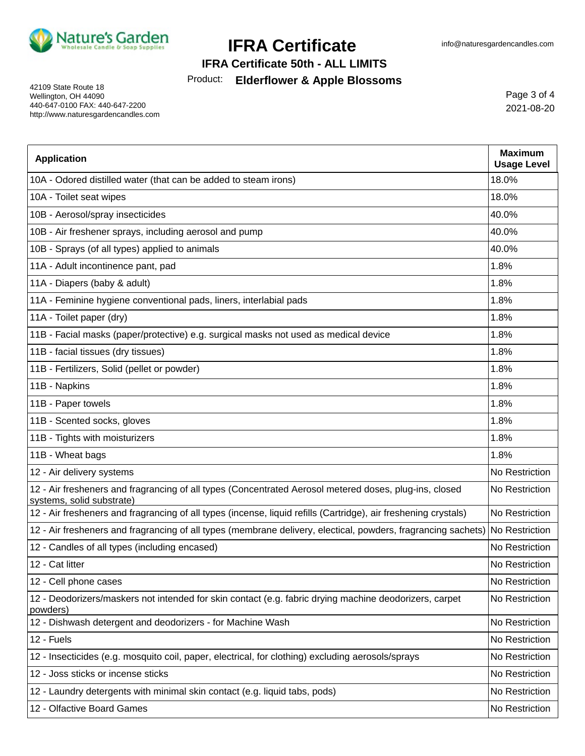

### **IFRA Certificate 50th - ALL LIMITS**

### Product: **Elderflower & Apple Blossoms**

42109 State Route 18 Wellington, OH 44090 440-647-0100 FAX: 440-647-2200 http://www.naturesgardencandles.com

Page 3 of 4 2021-08-20

| <b>Application</b>                                                                                                                  | <b>Maximum</b><br><b>Usage Level</b> |
|-------------------------------------------------------------------------------------------------------------------------------------|--------------------------------------|
| 10A - Odored distilled water (that can be added to steam irons)                                                                     | 18.0%                                |
| 10A - Toilet seat wipes                                                                                                             | 18.0%                                |
| 10B - Aerosol/spray insecticides                                                                                                    | 40.0%                                |
| 10B - Air freshener sprays, including aerosol and pump                                                                              | 40.0%                                |
| 10B - Sprays (of all types) applied to animals                                                                                      | 40.0%                                |
| 11A - Adult incontinence pant, pad                                                                                                  | 1.8%                                 |
| 11A - Diapers (baby & adult)                                                                                                        | 1.8%                                 |
| 11A - Feminine hygiene conventional pads, liners, interlabial pads                                                                  | 1.8%                                 |
| 11A - Toilet paper (dry)                                                                                                            | 1.8%                                 |
| 11B - Facial masks (paper/protective) e.g. surgical masks not used as medical device                                                | 1.8%                                 |
| 11B - facial tissues (dry tissues)                                                                                                  | 1.8%                                 |
| 11B - Fertilizers, Solid (pellet or powder)                                                                                         | 1.8%                                 |
| 11B - Napkins                                                                                                                       | 1.8%                                 |
| 11B - Paper towels                                                                                                                  | 1.8%                                 |
| 11B - Scented socks, gloves                                                                                                         | 1.8%                                 |
| 11B - Tights with moisturizers                                                                                                      | 1.8%                                 |
| 11B - Wheat bags                                                                                                                    | 1.8%                                 |
| 12 - Air delivery systems                                                                                                           | No Restriction                       |
| 12 - Air fresheners and fragrancing of all types (Concentrated Aerosol metered doses, plug-ins, closed<br>systems, solid substrate) | No Restriction                       |
| 12 - Air fresheners and fragrancing of all types (incense, liquid refills (Cartridge), air freshening crystals)                     | No Restriction                       |
| 12 - Air fresheners and fragrancing of all types (membrane delivery, electical, powders, fragrancing sachets) No Restriction        |                                      |
| 12 - Candles of all types (including encased)                                                                                       | No Restriction                       |
| 12 - Cat litter                                                                                                                     | No Restriction                       |
| 12 - Cell phone cases                                                                                                               | No Restriction                       |
| 12 - Deodorizers/maskers not intended for skin contact (e.g. fabric drying machine deodorizers, carpet<br>powders)                  | No Restriction                       |
| 12 - Dishwash detergent and deodorizers - for Machine Wash                                                                          | No Restriction                       |
| 12 - Fuels                                                                                                                          | No Restriction                       |
| 12 - Insecticides (e.g. mosquito coil, paper, electrical, for clothing) excluding aerosols/sprays                                   | No Restriction                       |
| 12 - Joss sticks or incense sticks                                                                                                  | No Restriction                       |
| 12 - Laundry detergents with minimal skin contact (e.g. liquid tabs, pods)                                                          | No Restriction                       |
| 12 - Olfactive Board Games                                                                                                          | No Restriction                       |